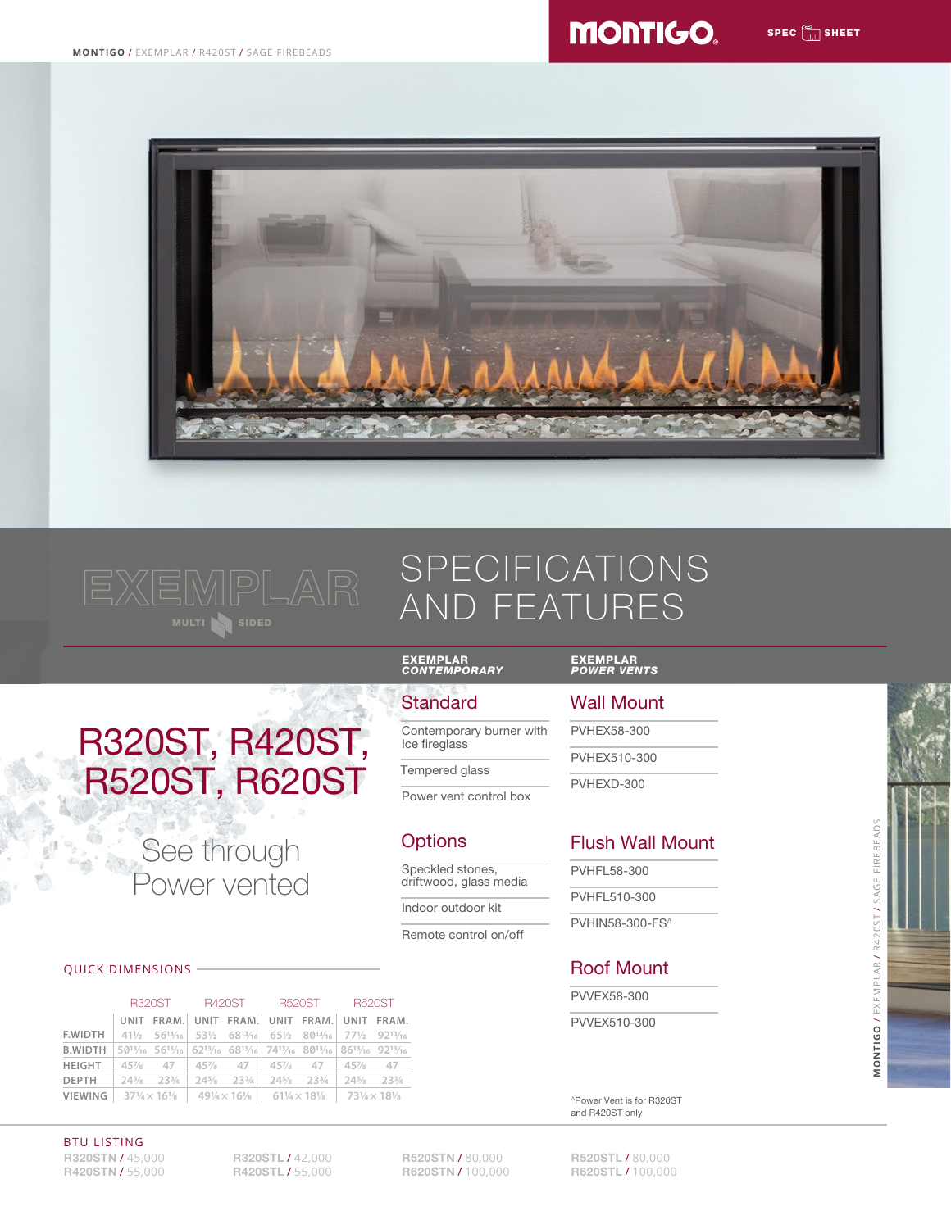





# SPECIFICATIONS AND FEATURES





Speckled stones, driftwood, glass media

**Options** 

**Standard** 

EXEMPLAR *CONTEMPORARY*

Ice fireglass Tempered glass

Contemporary burner with

Power vent control box

Indoor outdoor kit

Remote control on/off

#### QUICK DIMENSIONS

|                                                                                            | R320ST R420ST R520ST            |  |                                 |                                                                                                                                                                                                                                                  | <b>B620ST</b>                                  |  |  |
|--------------------------------------------------------------------------------------------|---------------------------------|--|---------------------------------|--------------------------------------------------------------------------------------------------------------------------------------------------------------------------------------------------------------------------------------------------|------------------------------------------------|--|--|
|                                                                                            |                                 |  |                                 | UNIT FRAM. UNIT FRAM. UNIT FRAM. UNIT FRAM.                                                                                                                                                                                                      |                                                |  |  |
| <b>F.WIDTH</b>                                                                             |                                 |  |                                 | $41\frac{1}{2}$ 56 <sup>13</sup> / <sub>16</sub> 53 <sup>1</sup> / <sub>2</sub> 68 <sup>13</sup> / <sub>16</sub> 65 <sup>1</sup> / <sub>2</sub> 80 <sup>13</sup> / <sub>16</sub> 77 <sup>1</sup> / <sub>2</sub> 92 <sup>13</sup> / <sub>16</sub> |                                                |  |  |
| <b>B.WIDTH</b>                                                                             |                                 |  |                                 | 5013/16 5613/16 6213/16 6813/16 7413/16 8013/16 8613/16 9213/16                                                                                                                                                                                  |                                                |  |  |
| <b>HEIGHT</b>                                                                              |                                 |  |                                 | 45% 47 45% 47 45% 47 45% 47 45% 47                                                                                                                                                                                                               |                                                |  |  |
| DEPTH                                                                                      | $24\frac{5}{8}$ $23\frac{3}{4}$ |  | $24\frac{5}{8}$ $23\frac{3}{4}$ | $24\frac{5}{8}$ $23\frac{3}{4}$                                                                                                                                                                                                                  | $24\frac{5}{8}$ 23 <sup>3</sup> / <sub>4</sub> |  |  |
| <b>VIEWING</b>   37½ $\times$ 16½   49½ $\times$ 16½   61½ $\times$ 18½   73½ $\times$ 18½ |                                 |  |                                 |                                                                                                                                                                                                                                                  |                                                |  |  |

# EXEMPLAR *POWER VENTS*

# Wall Mount

PVHEX58-300

PVHEX510-300

PVHEXD-300

# Flush Wall Mount

| PVHFL 58-300 |  |
|--------------|--|
| PVHFL510-300 |  |

**PVHIN58-300-FS<sup>Δ</sup>** 

## Roof Mount

PVVEX58-300

PVVEX510-300

ΔPower Vent is for R320ST and R420ST only

**MONTIGO**/ EXEMPLAR / R420ST / SAGE FIREBEADS

MONTIGO / EXEMPLAR / R420ST / SAGE FIREBEADS

**R320STN / 45,000** R320STL / 42,000 R520STN / 80,000 R520STL / 80,000<br>R420STN / 55,000 R420STL / 55,000 R620STN / 100,000 R620STL / 100,000 R420STN / 55,000 BTU LISTING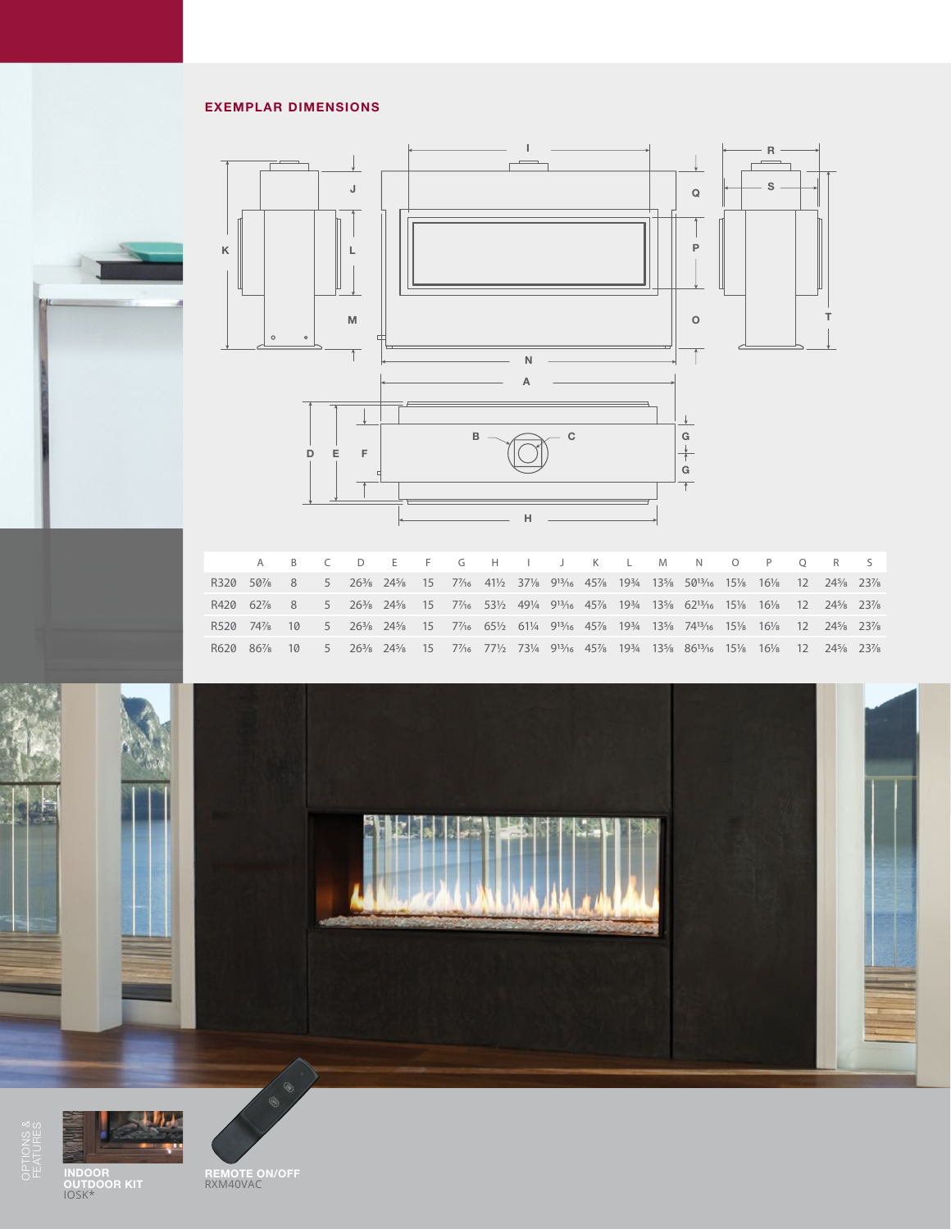#### EXEMPLAR DIMENSIONS





A B C D E F G H I J K L M N O P Q R S R320 50% 8 5 26% 24% 15 7% 41½ 37% 91% 45% 19% 13% 501% 15% 16% 12 24% 23% R420 627/8 8 5 263/8 245/8 15 77/16 531/2 491/4 913/16 457/8 193/4 135/8 6213/16 151/8 161/8 12 245/8 237/8 R520 747/8 10 5 263/8 245/8 15 77/16 651/2 611/4 913/16 457/8 193/4 135/8 7413/16 151/8 161/8 12 245/8 237/8 R620 867/8 10 5 263/8 243/8 15 77/16 771/2 731/4 913/16 457/8 1934 1331/8 8613/16 151/8 161/8 12 2431/8 237/8 I 26<sup>3</sup>/8 24<sup>5</sup>/8 R620 86% 10 5 26% 24%  $62^{13}/_{16}$ R







INDOOR OUTDOOR KIT IOSK\*

REMOTE ON/OFF RXM40VAC